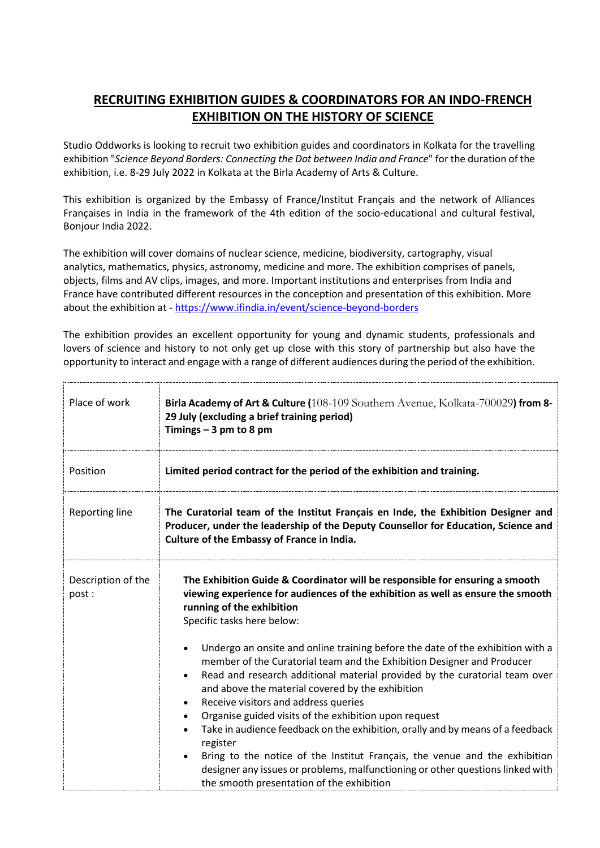## **RECRUITING EXHIBITION GUIDES & COORDINATORS FOR AN INDO-FRENCH EXHIBITION ON THE HISTORY OF SCIENCE**

Studio Oddworks is looking to recruit two exhibition guides and coordinators in Kolkata for the travelling exhibition "*Science Beyond Borders: Connecting the Dot between India and France*" for the duration of the exhibition, i.e. 8-29 July 2022 in Kolkata at the Birla Academy of Arts & Culture.

This exhibition is organized by the Embassy of France/Institut Français and the network of Alliances Françaises in India in the framework of the 4th edition of the socio-educational and cultural festival, Bonjour India 2022.

The exhibition will cover domains of nuclear science, medicine, biodiversity, cartography, visual analytics, mathematics, physics, astronomy, medicine and more. The exhibition comprises of panels, objects, films and AV clips, images, and more. Important institutions and enterprises from India and France have contributed different resources in the conception and presentation of this exhibition. More about the exhibition at - [https://www.ifindia.in/event/science-beyond-borders](https://www.ifindia.in/event/science-beyond-borders/)

The exhibition provides an excellent opportunity for young and dynamic students, professionals and lovers of science and history to not only get up close with this story of partnership but also have the opportunity to interact and engage with a range of different audiences during the period of the exhibition.

| Place of work               | <b>Birla Academy of Art &amp; Culture (108-109 Southern Avenue, Kolkata-700029) from 8-</b><br>29 July (excluding a brief training period)<br>Timings $-3$ pm to 8 pm                                                                                                                                                                                                                                                                                                                                                                                                                                                                                                                                                                                      |
|-----------------------------|------------------------------------------------------------------------------------------------------------------------------------------------------------------------------------------------------------------------------------------------------------------------------------------------------------------------------------------------------------------------------------------------------------------------------------------------------------------------------------------------------------------------------------------------------------------------------------------------------------------------------------------------------------------------------------------------------------------------------------------------------------|
| Position                    | Limited period contract for the period of the exhibition and training.                                                                                                                                                                                                                                                                                                                                                                                                                                                                                                                                                                                                                                                                                     |
| Reporting line              | The Curatorial team of the Institut Français en Inde, the Exhibition Designer and<br>Producer, under the leadership of the Deputy Counsellor for Education, Science and<br>Culture of the Embassy of France in India.                                                                                                                                                                                                                                                                                                                                                                                                                                                                                                                                      |
| Description of the<br>post: | The Exhibition Guide & Coordinator will be responsible for ensuring a smooth<br>viewing experience for audiences of the exhibition as well as ensure the smooth<br>running of the exhibition<br>Specific tasks here below:                                                                                                                                                                                                                                                                                                                                                                                                                                                                                                                                 |
|                             | Undergo an onsite and online training before the date of the exhibition with a<br>$\bullet$<br>member of the Curatorial team and the Exhibition Designer and Producer<br>Read and research additional material provided by the curatorial team over<br>$\bullet$<br>and above the material covered by the exhibition<br>Receive visitors and address queries<br>Organise guided visits of the exhibition upon request<br>$\bullet$<br>Take in audience feedback on the exhibition, orally and by means of a feedback<br>register<br>Bring to the notice of the Institut Français, the venue and the exhibition<br>$\bullet$<br>designer any issues or problems, malfunctioning or other questions linked with<br>the smooth presentation of the exhibition |